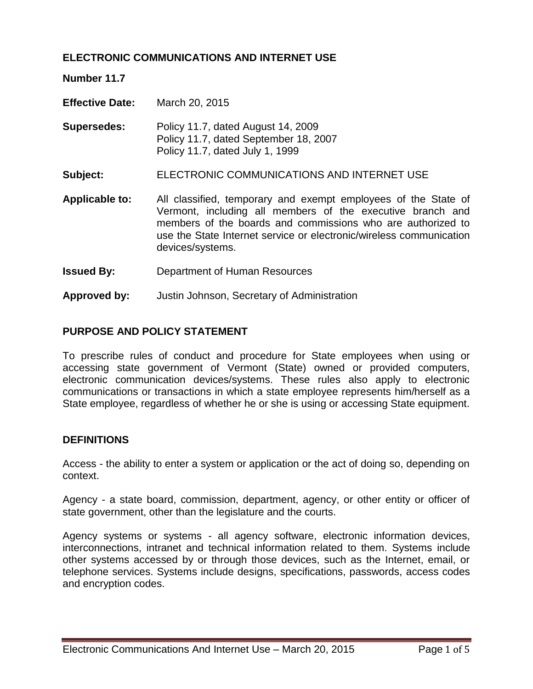# **ELECTRONIC COMMUNICATIONS AND INTERNET USE**

**Number 11.7** 

**Effective Date:** March 20, 2015

**Supersedes:** Policy 11.7, dated August 14, 2009 Policy 11.7, dated September 18, 2007 Policy 11.7, dated July 1, 1999

**Subject:** ELECTRONIC COMMUNICATIONS AND INTERNET USE

- **Applicable to:** All classified, temporary and exempt employees of the State of Vermont, including all members of the executive branch and members of the boards and commissions who are authorized to use the State Internet service or electronic/wireless communication devices/systems.
- **Issued By:** Department of Human Resources
- **Approved by:** Justin Johnson, Secretary of Administration

### **PURPOSE AND POLICY STATEMENT**

To prescribe rules of conduct and procedure for State employees when using or accessing state government of Vermont (State) owned or provided computers, electronic communication devices/systems. These rules also apply to electronic communications or transactions in which a state employee represents him/herself as a State employee, regardless of whether he or she is using or accessing State equipment.

#### **DEFINITIONS**

Access - the ability to enter a system or application or the act of doing so, depending on context.

Agency - a state board, commission, department, agency, or other entity or officer of state government, other than the legislature and the courts.

Agency systems or systems - all agency software, electronic information devices, interconnections, intranet and technical information related to them. Systems include other systems accessed by or through those devices, such as the Internet, email, or telephone services. Systems include designs, specifications, passwords, access codes and encryption codes.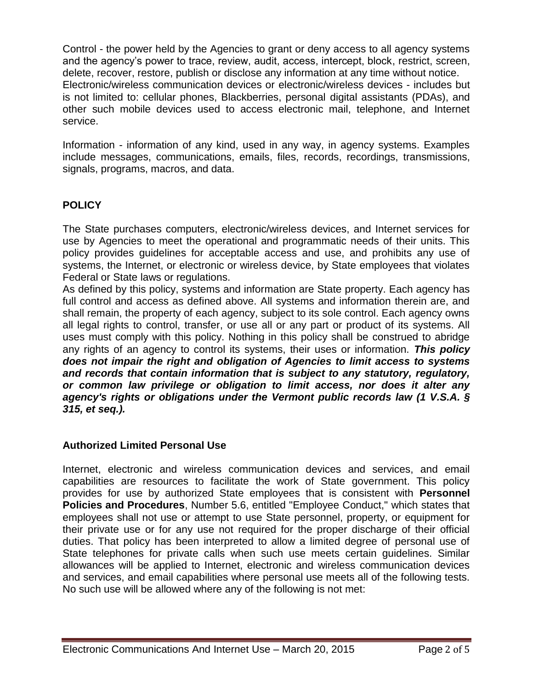Control - the power held by the Agencies to grant or deny access to all agency systems and the agency's power to trace, review, audit, access, intercept, block, restrict, screen, delete, recover, restore, publish or disclose any information at any time without notice. Electronic/wireless communication devices or electronic/wireless devices - includes but is not limited to: cellular phones, Blackberries, personal digital assistants (PDAs), and other such mobile devices used to access electronic mail, telephone, and Internet service.

Information - information of any kind, used in any way, in agency systems. Examples include messages, communications, emails, files, records, recordings, transmissions, signals, programs, macros, and data.

# **POLICY**

The State purchases computers, electronic/wireless devices, and Internet services for use by Agencies to meet the operational and programmatic needs of their units. This policy provides guidelines for acceptable access and use, and prohibits any use of systems, the Internet, or electronic or wireless device, by State employees that violates Federal or State laws or regulations.

As defined by this policy, systems and information are State property. Each agency has full control and access as defined above. All systems and information therein are, and shall remain, the property of each agency, subject to its sole control. Each agency owns all legal rights to control, transfer, or use all or any part or product of its systems. All uses must comply with this policy. Nothing in this policy shall be construed to abridge any rights of an agency to control its systems, their uses or information. *This policy does not impair the right and obligation of Agencies to limit access to systems and records that contain information that is subject to any statutory, regulatory, or common law privilege or obligation to limit access, nor does it alter any agency's rights or obligations under the Vermont public records law (1 V.S.A. § 315, et seq.).* 

# **Authorized Limited Personal Use**

Internet, electronic and wireless communication devices and services, and email capabilities are resources to facilitate the work of State government. This policy provides for use by authorized State employees that is consistent with **Personnel Policies and Procedures**, Number 5.6, entitled "Employee Conduct," which states that employees shall not use or attempt to use State personnel, property, or equipment for their private use or for any use not required for the proper discharge of their official duties. That policy has been interpreted to allow a limited degree of personal use of State telephones for private calls when such use meets certain guidelines. Similar allowances will be applied to Internet, electronic and wireless communication devices and services, and email capabilities where personal use meets all of the following tests. No such use will be allowed where any of the following is not met: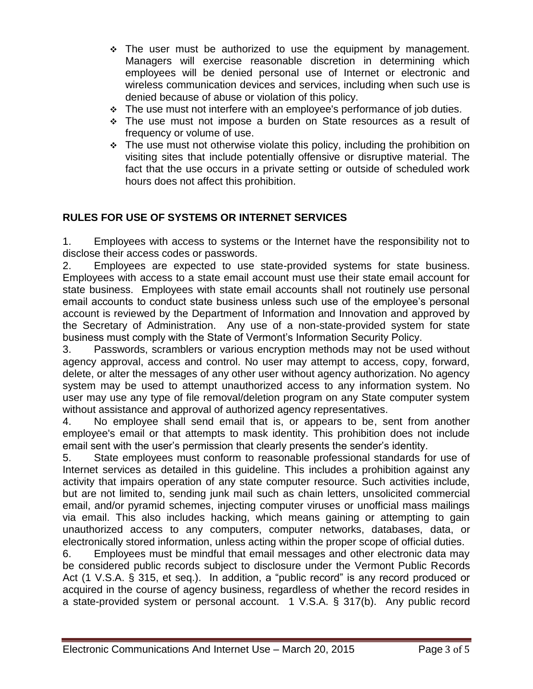- $\div$  The user must be authorized to use the equipment by management. Managers will exercise reasonable discretion in determining which employees will be denied personal use of Internet or electronic and wireless communication devices and services, including when such use is denied because of abuse or violation of this policy.
- $\cdot$  The use must not interfere with an employee's performance of job duties.
- The use must not impose a burden on State resources as a result of frequency or volume of use.
- $\cdot$  The use must not otherwise violate this policy, including the prohibition on visiting sites that include potentially offensive or disruptive material. The fact that the use occurs in a private setting or outside of scheduled work hours does not affect this prohibition.

# **RULES FOR USE OF SYSTEMS OR INTERNET SERVICES**

1. Employees with access to systems or the Internet have the responsibility not to disclose their access codes or passwords.

2. Employees are expected to use state-provided systems for state business. Employees with access to a state email account must use their state email account for state business. Employees with state email accounts shall not routinely use personal email accounts to conduct state business unless such use of the employee's personal account is reviewed by the Department of Information and Innovation and approved by the Secretary of Administration. Any use of a non-state-provided system for state business must comply with the State of Vermont's Information Security Policy.

3. Passwords, scramblers or various encryption methods may not be used without agency approval, access and control. No user may attempt to access, copy, forward, delete, or alter the messages of any other user without agency authorization. No agency system may be used to attempt unauthorized access to any information system. No user may use any type of file removal/deletion program on any State computer system without assistance and approval of authorized agency representatives.

4. No employee shall send email that is, or appears to be, sent from another employee's email or that attempts to mask identity. This prohibition does not include email sent with the user's permission that clearly presents the sender's identity.

5. State employees must conform to reasonable professional standards for use of Internet services as detailed in this guideline. This includes a prohibition against any activity that impairs operation of any state computer resource. Such activities include, but are not limited to, sending junk mail such as chain letters, unsolicited commercial email, and/or pyramid schemes, injecting computer viruses or unofficial mass mailings via email. This also includes hacking, which means gaining or attempting to gain unauthorized access to any computers, computer networks, databases, data, or electronically stored information, unless acting within the proper scope of official duties.

6. Employees must be mindful that email messages and other electronic data may be considered public records subject to disclosure under the Vermont Public Records Act (1 V.S.A. § 315, et seq.). In addition, a "public record" is any record produced or acquired in the course of agency business, regardless of whether the record resides in a state-provided system or personal account. 1 V.S.A. § 317(b). Any public record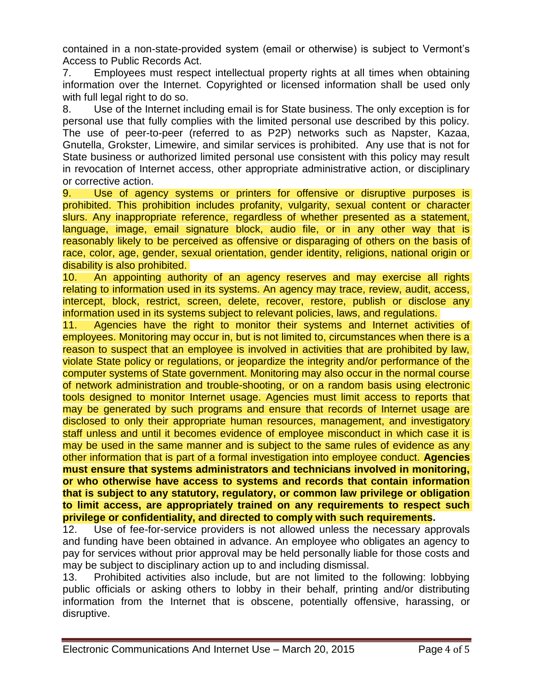contained in a non-state-provided system (email or otherwise) is subject to Vermont's Access to Public Records Act.

7. Employees must respect intellectual property rights at all times when obtaining information over the Internet. Copyrighted or licensed information shall be used only with full legal right to do so.

8. Use of the Internet including email is for State business. The only exception is for personal use that fully complies with the limited personal use described by this policy. The use of peer-to-peer (referred to as P2P) networks such as Napster, Kazaa, Gnutella, Grokster, Limewire, and similar services is prohibited. Any use that is not for State business or authorized limited personal use consistent with this policy may result in revocation of Internet access, other appropriate administrative action, or disciplinary or corrective action.

9. Use of agency systems or printers for offensive or disruptive purposes is prohibited. This prohibition includes profanity, vulgarity, sexual content or character slurs. Any inappropriate reference, regardless of whether presented as a statement, language, image, email signature block, audio file, or in any other way that is reasonably likely to be perceived as offensive or disparaging of others on the basis of race, color, age, gender, sexual orientation, gender identity, religions, national origin or disability is also prohibited.

10. An appointing authority of an agency reserves and may exercise all rights relating to information used in its systems. An agency may trace, review, audit, access, intercept, block, restrict, screen, delete, recover, restore, publish or disclose any information used in its systems subject to relevant policies, laws, and regulations.

11. Agencies have the right to monitor their systems and Internet activities of employees. Monitoring may occur in, but is not limited to, circumstances when there is a reason to suspect that an employee is involved in activities that are prohibited by law, violate State policy or regulations, or jeopardize the integrity and/or performance of the computer systems of State government. Monitoring may also occur in the normal course of network administration and trouble-shooting, or on a random basis using electronic tools designed to monitor Internet usage. Agencies must limit access to reports that may be generated by such programs and ensure that records of Internet usage are disclosed to only their appropriate human resources, management, and investigatory staff unless and until it becomes evidence of employee misconduct in which case it is may be used in the same manner and is subject to the same rules of evidence as any other information that is part of a formal investigation into employee conduct. **Agencies must ensure that systems administrators and technicians involved in monitoring, or who otherwise have access to systems and records that contain information that is subject to any statutory, regulatory, or common law privilege or obligation to limit access, are appropriately trained on any requirements to respect such privilege or confidentiality, and directed to comply with such requirements.**

12. Use of fee-for-service providers is not allowed unless the necessary approvals and funding have been obtained in advance. An employee who obligates an agency to pay for services without prior approval may be held personally liable for those costs and may be subject to disciplinary action up to and including dismissal.

13. Prohibited activities also include, but are not limited to the following: lobbying public officials or asking others to lobby in their behalf, printing and/or distributing information from the Internet that is obscene, potentially offensive, harassing, or disruptive.